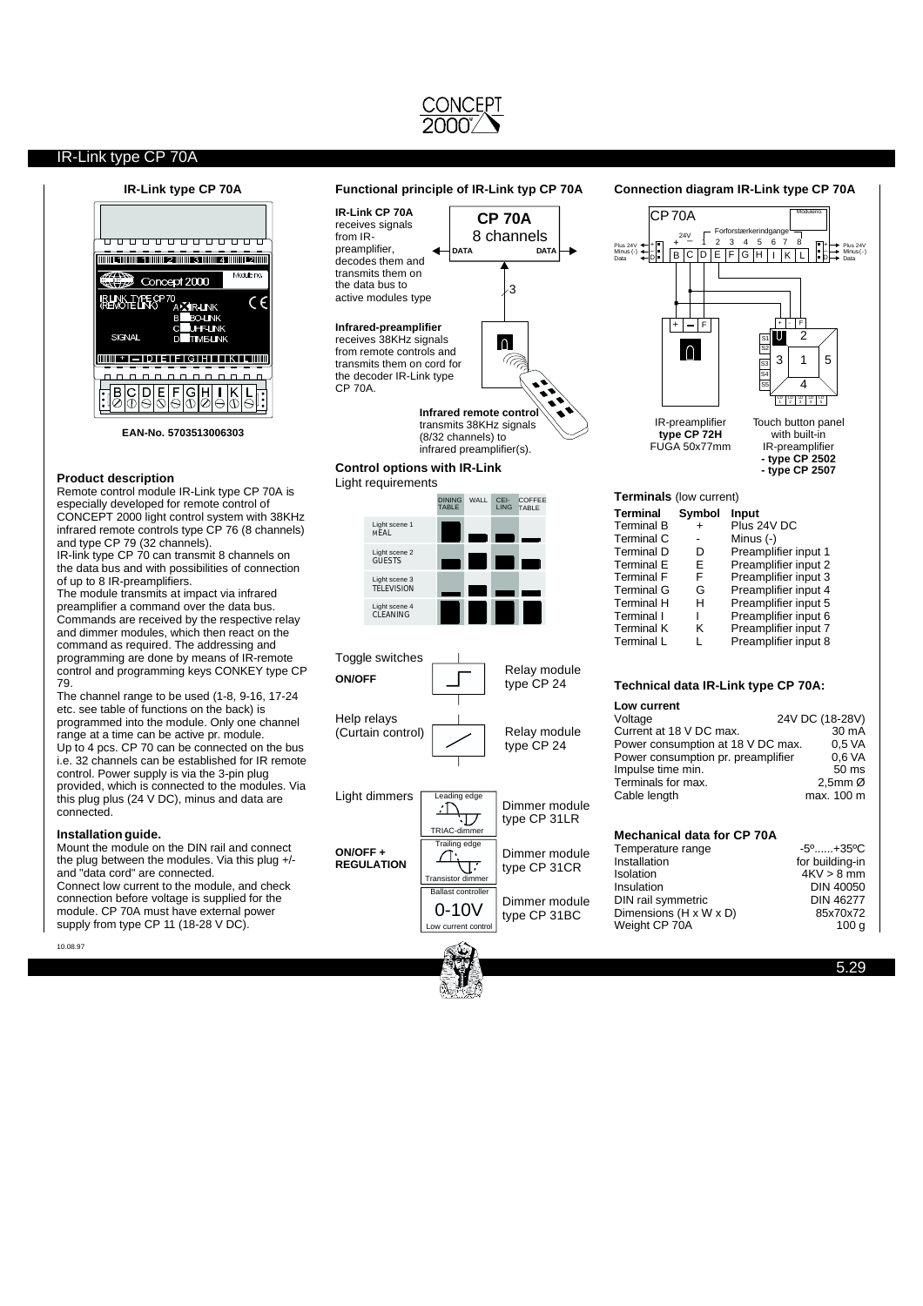# IR-Link type CP 70A



## **Product description**

Remote control module IR-Link type CP 70A is especially developed for remote control of CONCEPT 2000 light control system with 38KHz infrared remote controls type CP 76 (8 channels) and type CP 79 (32 channels).

IR-link type CP 70 can transmit 8 channels on the data bus and with possibilities of connection of up to 8 IR-preamplifiers.

The module transmits at impact via infrared preamplifier a command over the data bus. Commands are received by the respective relay and dimmer modules, which then react on the command as required. The addressing and programming are done by means of IR-remote control and programming keys CONKEY type CP 79.

The channel range to be used (1-8, 9-16, 17-24 etc. see table of functions on the back) is programmed into the module. Only one channel range at a time can be active pr. module. Up to 4 pcs. CP 70 can be connected on the bus i.e. 32 channels can be established for IR remote control. Power supply is via the 3-pin plug provided, which is connected to the modules. Via this plug plus (24 V DC), minus and data are connected.

## **Installation guide.**

Mount the module on the DIN rail and connect the plug between the modules. Via this plug +/ and "data cord" are connected. Connect low current to the module, and check connection before voltage is supplied for the

module. CP 70A must have external power supply from type CP 11 (18-28 V DC).

10.08.97

## **IR-Link type CP 70A Functional principle of IR-Link typ CP 70A**

**IR-Link CP 70A CP 70A** receives signals 8 channels from IRpreamplifier, **DATA DATA** decodes them and transmits them on the data bus to active modules type **Infrared-preamplifier** receives 38KHz signals  $\Omega$ 

from remote controls and transmits them on cord for the decoder IR-Link type CP 70A.

> **Infrared remote contro** transmits 38KHz signals (8/32 channels) to infrared preamplifier(s).

3

(77

**Control options with IR-Link**

## Light requirements



Toggle switches Help relays (Curtain control) Relay module type CP 24 Relay module type CP 24 **ON/OFF**

Light dimmers ng edg Dimmer module  $\cdot \Gamma$ type CP 31LR ・ワ TRIAC-dimmer Trailing edge **ON/OFF +** Dimmer module  $\bigcap$ **REGULATION** ताः type CP 31CR ransistor Ballast controller Dimmer module 0-10V type CP 31BC Low current control

## **Connection diagram IR-Link type CP 70A**  $CP$ 70A Moduleno. Forforstærkerindgange \_ 24V Plus 24V  $\leftarrow$  +  $\begin{array}{|c|c|c|c|c|c|c|c|c|} \hline \text{Plus 24V} & + & - & 1 & 2 & 3 & 4 & 5 & 6 & 7 & 8 \\ \hline \text{Minus (c)} & + & - & & \text{B} & \text{C} & \text{D} & \text{E} & \text{F} & \text{G} & \text{H} & \text{I} & \text{K} & \text{L} \end{array}$ +  $+$ <br> $-$ <br>D + \_ D Plus 24V Minus (-) Minus(-) Data Data  $+$   $F$ + - F  $\mathfrak{p}$ S1 S2  $\bigcap$ 5 3 1 S3 S4  $\overline{A}$ S5 LD | LD | LD | LD<br>1 | 2 | 3 | 4 | 5 IR-preamplifier Touch button panel **type CP 72H** with built-in FUGA 50x77mm IR-preamplifier **- type CP 2502 - type CP 2507 Terminals** (low current) **Terminal Symbol Input**

| Terminal B | + | Plus 24V DC          |
|------------|---|----------------------|
| Terminal C |   | Minus (-)            |
| Terminal D | D | Preamplifier input 1 |
| Terminal E | F | Preamplifier input 2 |
| Terminal F | F | Preamplifier input 3 |
| Terminal G | G | Preamplifier input 4 |
| Terminal H | н | Preamplifier input 5 |
| Terminal I |   | Preamplifier input 6 |
| Terminal K | ĸ | Preamplifier input 7 |
| Terminal L | L | Preamplifier input 8 |
|            |   |                      |

## **Technical data IR-Link type CP 70A:**

| Low current                        |                        |
|------------------------------------|------------------------|
| Voltage                            | 24V DC (18-28V)        |
| Current at 18 V DC max.            | 30 mA                  |
| Power consumption at 18 V DC max.  | 0.5 <sub>V</sub> A     |
| Power consumption pr. preamplifier | 0.6 VA                 |
| Impulse time min.                  | 50 ms                  |
| Terminals for max.                 | $2,5$ mm $\varnothing$ |
| Cable length                       | max. 100 m             |
|                                    |                        |

# **Mechanical data for CP 70A**

| Temperature range      | $-5^0$ $+35^0$ C |
|------------------------|------------------|
| Installation           | for building-in  |
| Isolation              | $4KV > 8$ mm     |
| Insulation             | <b>DIN 40050</b> |
| DIN rail symmetric     | <b>DIN 46277</b> |
| Dimensions (H x W x D) | 85x70x72         |
| Weight CP 70A          | 100 a            |
|                        |                  |



5.29